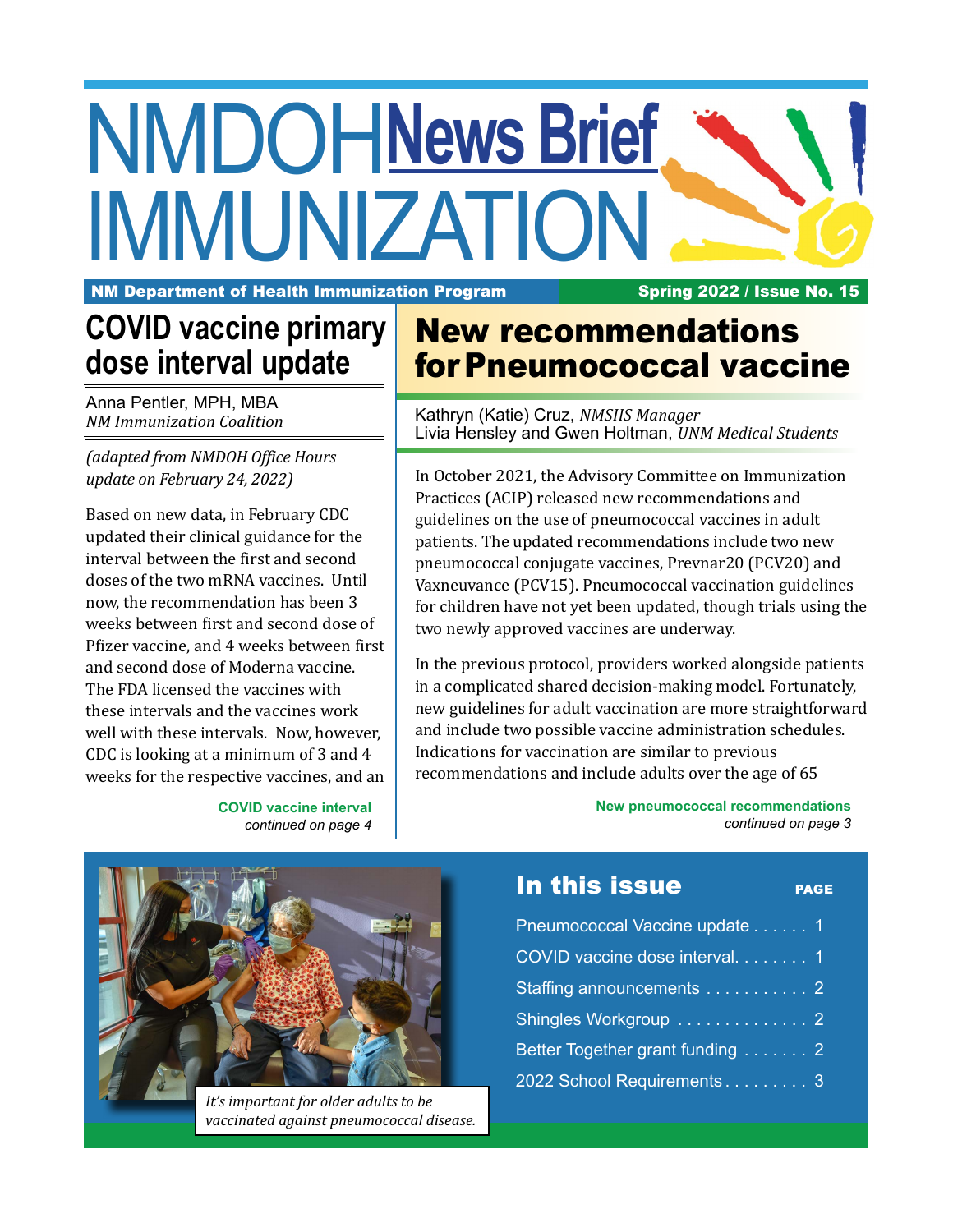# NMDOH **News Brief** IMMUNIZATION

NM Department of Health Immunization Program Spring 2022 / Issue No. 15

# **COVID vaccine primary dose interval update**

Anna Pentler, MPH, MBA *NM Immunization Coalition*

*(adapted from NMDOH Office Hours update on February 24, 2022)*

Based on new data, in February CDC updated their clinical guidance for the interval between the first and second doses of the two mRNA vaccines. Until now, the recommendation has been 3 weeks between first and second dose of Pfizer vaccine, and 4 weeks between first and second dose of Moderna vaccine. The FDA licensed the vaccines with these intervals and the vaccines work well with these intervals. Now, however, CDC is looking at a minimum of 3 and 4 weeks for the respective vaccines, and an

> **COVID vaccine interval** *continued on page 4*

## New recommendations for Pneumococcal vaccine

Kathryn (Katie) Cruz, *NMSIIS Manager* Livia Hensley and Gwen Holtman, *UNM Medical Students*

In October 2021, the Advisory Committee on Immunization Practices (ACIP) released new recommendations and guidelines on the use of pneumococcal vaccines in adult patients. The updated recommendations include two new pneumococcal conjugate vaccines, Prevnar20 (PCV20) and Vaxneuvance (PCV15). Pneumococcal vaccination guidelines for children have not yet been updated, though trials using the two newly approved vaccines are underway.

In the previous protocol, providers worked alongside patients in a complicated shared decision-making model. Fortunately, new guidelines for adult vaccination are more straightforward and include two possible vaccine administration schedules. Indications for vaccination are similar to previous recommendations and include adults over the age of 65



*It's important for older adults to be vaccinated against pneumococcal disease.*

**New pneumococcal recommendations** *continued on page 3*

## In this issue

| ۰, |  |  |
|----|--|--|
|    |  |  |
|    |  |  |

| Pneumococcal Vaccine update 1   |
|---------------------------------|
| COVID vaccine dose interval. 1  |
| Staffing announcements 2        |
| Shingles Workgroup 2            |
| Better Together grant funding 2 |
| 2022 School Requirements 3      |
|                                 |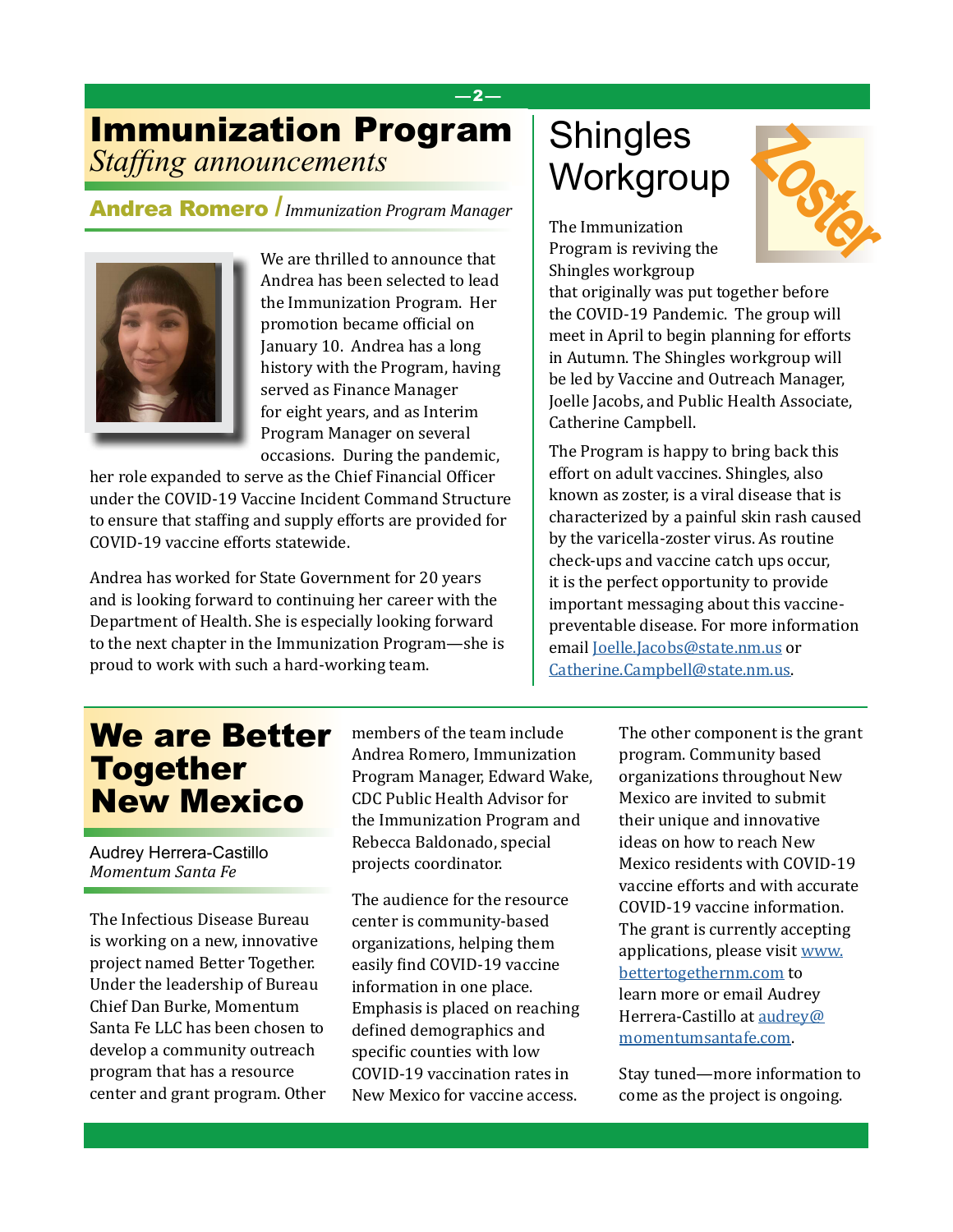### —2—

## *Staffing announcements* Immunization Program

Andrea Romero /*Immunization Program Manager*



We are thrilled to announce that Andrea has been selected to lead the Immunization Program. Her promotion became official on January 10. Andrea has a long history with the Program, having served as Finance Manager for eight years, and as Interim Program Manager on several occasions. During the pandemic,

her role expanded to serve as the Chief Financial Officer under the COVID-19 Vaccine Incident Command Structure to ensure that staffing and supply efforts are provided for COVID-19 vaccine efforts statewide.

Andrea has worked for State Government for 20 years and is looking forward to continuing her career with the Department of Health. She is especially looking forward to the next chapter in the Immunization Program—she is proud to work with such a hard-working team.

# **Shingles** Workgroup

The Immunization Program is reviving the Shingles workgroup



that originally was put together before the COVID-19 Pandemic. The group will meet in April to begin planning for efforts in Autumn. The Shingles workgroup will be led by Vaccine and Outreach Manager, Joelle Jacobs, and Public Health Associate, Catherine Campbell.

The Program is happy to bring back this effort on adult vaccines. Shingles, also known as zoster, is a viral disease that is characterized by a painful skin rash caused by the varicella-zoster virus. As routine check-ups and vaccine catch ups occur, it is the perfect opportunity to provide important messaging about this vaccinepreventable disease. For more information email [Joelle.Jacobs@state.nm.us](mailto:Joelle.Jacobs%40state.nm.us?subject=) or [Catherine.Campbell@state.nm.us](mailto:Catherine.Campbell%40state.nm.us?subject=).

## We are Better Together New Mexico

Audrey Herrera-Castillo *Momentum Santa Fe*

The Infectious Disease Bureau is working on a new, innovative project named Better Together. Under the leadership of Bureau Chief Dan Burke, Momentum Santa Fe LLC has been chosen to develop a community outreach program that has a resource center and grant program. Other members of the team include Andrea Romero, Immunization Program Manager, Edward Wake, CDC Public Health Advisor for the Immunization Program and Rebecca Baldonado, special projects coordinator.

The audience for the resource center is community-based organizations, helping them easily find COVID-19 vaccine information in one place. Emphasis is placed on reaching defined demographics and specific counties with low COVID-19 vaccination rates in New Mexico for vaccine access.

The other component is the grant program. Community based organizations throughout New Mexico are invited to submit their unique and innovative ideas on how to reach New Mexico residents with COVID-19 vaccine efforts and with accurate COVID-19 vaccine information. The grant is currently accepting applications, please visit [www.](http://www.bettertogethernm.com) [bettertogethernm.com](http://www.bettertogethernm.com) to learn more or email Audrey Herrera-Castillo at [audrey@](mailto:audrey%40momentumsantafe.com?subject=) [momentumsantafe.com.](mailto:audrey%40momentumsantafe.com?subject=)

Stay tuned—more information to come as the project is ongoing.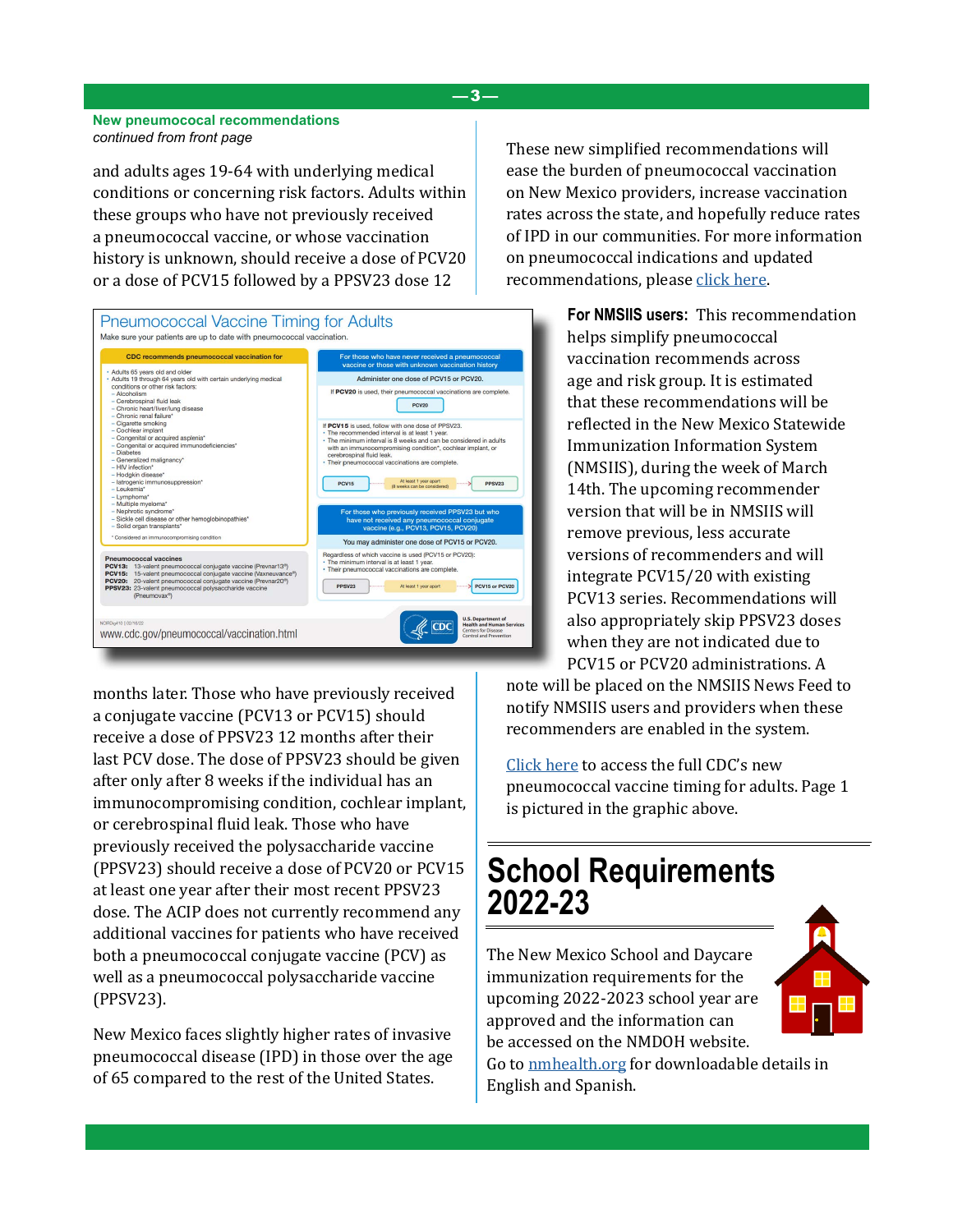#### **New pneumococal recommendations** *continued from front page*

and adults ages 19-64 with underlying medical conditions or concerning risk factors. Adults within these groups who have not previously received a pneumococcal vaccine, or whose vaccination history is unknown, should receive a dose of PCV20 or a dose of PCV15 followed by a PPSV23 dose 12



months later. Those who have previously received a conjugate vaccine (PCV13 or PCV15) should receive a dose of PPSV23 12 months after their last PCV dose. The dose of PPSV23 should be given after only after 8 weeks if the individual has an immunocompromising condition, cochlear implant, or cerebrospinal fluid leak. Those who have previously received the polysaccharide vaccine (PPSV23) should receive a dose of PCV20 or PCV15 at least one year after their most recent PPSV23 dose. The ACIP does not currently recommend any additional vaccines for patients who have received both a pneumococcal conjugate vaccine (PCV) as well as a pneumococcal polysaccharide vaccine (PPSV23).

New Mexico faces slightly higher rates of invasive pneumococcal disease (IPD) in those over the age of 65 compared to the rest of the United States.

These new simplified recommendations will ease the burden of pneumococcal vaccination on New Mexico providers, increase vaccination rates across the state, and hopefully reduce rates of IPD in our communities. For more information on pneumococcal indications and updated recommendations, please [click here.](https://www.cdc.gov/vaccines/hcp/acip-recs/vacc-specific/pneumo.html)

> **For NMSIIS users:** This recommendation helps simplify pneumococcal vaccination recommends across age and risk group. It is estimated that these recommendations will be reflected in the New Mexico Statewide Immunization Information System (NMSIIS), during the week of March 14th. The upcoming recommender version that will be in NMSIIS will remove previous, less accurate versions of recommenders and will integrate PCV15/20 with existing PCV13 series. Recommendations will also appropriately skip PPSV23 doses when they are not indicated due to PCV15 or PCV20 administrations. A

note will be placed on the NMSIIS News Feed to notify NMSIIS users and providers when these recommenders are enabled in the system.

[Click here](https://www.cdc.gov/vaccines/vpd/pneumo/downloads/pneumo-vaccine-timing.pdf) to access the full CDC's new pneumococcal vaccine timing for adults. Page 1 is pictured in the graphic above.

## **School Requirements 2022-23**

The New Mexico School and Daycare immunization requirements for the upcoming 2022-2023 school year are approved and the information can be accessed on the NMDOH website.

Go to [nmhealth.org](https://www.nmhealth.org/about/phd/idb/imp/sreq/) for downloadable details in English and Spanish.